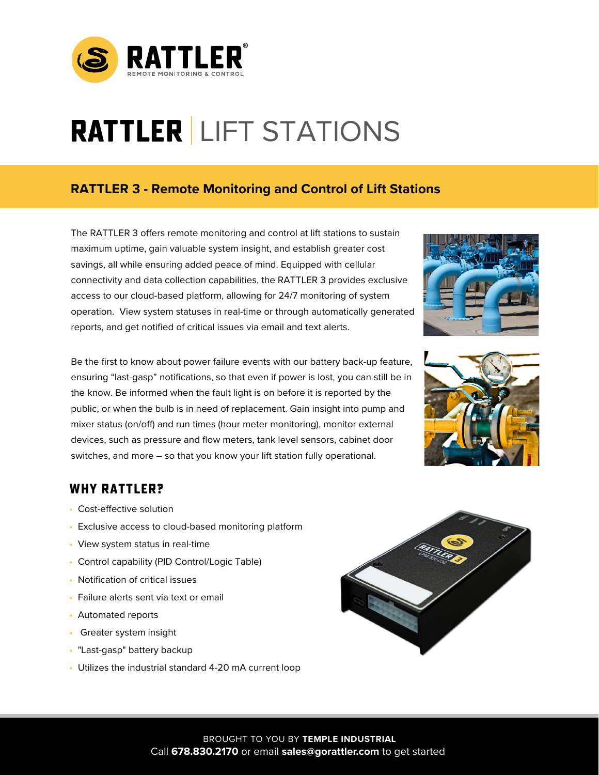

# **RATTLER**  LIFT STATIONS

## **RATTLER 3 - Remote Monitoring and Control of Lift Stations**

The RATTLER 3 offers remote monitoring and control at lift stations to sustain maximum uptime, gain valuable system insight, and establish greater cost savings, all while ensuring added peace of mind. Equipped with cellular connectivity and data collection capabilities, the RATTLER 3 provides exclusive access to our cloud-based platform, allowing for 24/7 monitoring of system operation. View system statuses in real-time or through automatically generated reports, and get notified of critical issues via email and text alerts.

Be the first to know about power failure events with our battery back-up feature, ensuring "last-gasp" notifications, so that even if power is lost, you can still be in the know. Be informed when the fault light is on before it is reported by the public, or when the bulb is in need of replacement. Gain insight into pump and mixer status (on/off) and run times (hour meter monitoring), monitor external devices, such as pressure and flow meters, tank level sensors, cabinet door switches, and more – so that you know your lift station fully operational.





## **WHY RATTLER?**

- Cost-effective solution
- Exclusive access to cloud-based monitoring platform
- View system status in real-time
- Control capability (PID Control/Logic Table)
- Notification of critical issues
- Failure alerts sent via text or email
- Automated reports
- Greater system insight
- "Last-gasp" battery backup
- Utilizes the industrial standard 4-20 mA current loop



Call **678.830.2170** or email **sales@gorattler.com** to get started BROUGHT TO YOU BY **TEMPLE INDUSTRIAL**